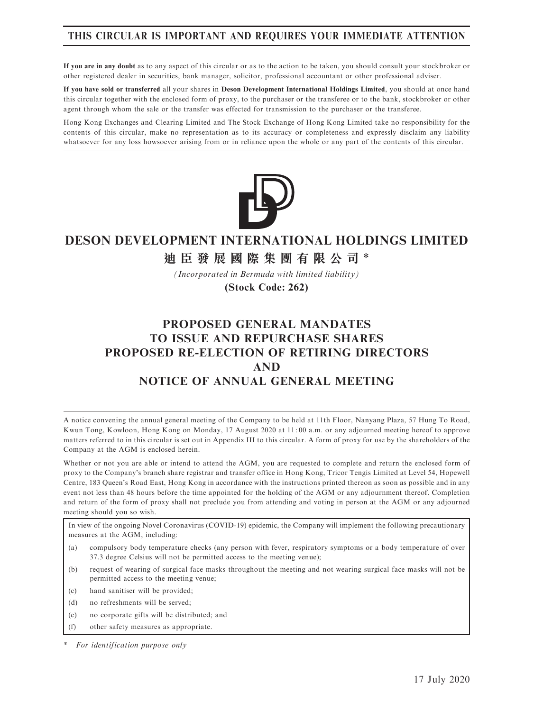## THIS CIRCULAR IS IMPORTANT AND REQUIRES YOUR IMMEDIATE ATTENTION

If you are in any doubt as to any aspect of this circular or as to the action to be taken, you should consult your stockbroker or other registered dealer in securities, bank manager, solicitor, professional accountant or other professional adviser.

If you have sold or transferred all your shares in Deson Development International Holdings Limited, you should at once hand this circular together with the enclosed form of proxy, to the purchaser or the transferee or to the bank, stockbroker or other agent through whom the sale or the transfer was effected for transmission to the purchaser or the transferee.

Hong Kong Exchanges and Clearing Limited and The Stock Exchange of Hong Kong Limited take no responsibility for the contents of this circular, make no representation as to its accuracy or completeness and expressly disclaim any liability whatsoever for any loss howsoever arising from or in reliance upon the whole or any part of the contents of this circular.



# **DESON DEVELOPMENT INTERNATIONAL HOLDINGS LIMITED**

# **迪臣發展國際集團有限公司** \*

*(Incorporated in Bermuda with limited liability)*

**(Stock Code: 262)**

# PROPOSED GENERAL MANDATES TO ISSUE AND REPURCHASE SHARES PROPOSED RE-ELECTION OF RETIRING DIRECTORS AND NOTICE OF ANNUAL GENERAL MEETING

A notice convening the annual general meeting of the Company to be held at 11th Floor, Nanyang Plaza, 57 Hung To Road, Kwun Tong, Kowloon, Hong Kong on Monday, 17 August 2020 at 11: 00 a.m. or any adjourned meeting hereof to approve matters referred to in this circular is set out in Appendix III to this circular. A form of proxy for use by the shareholders of the Company at the AGM is enclosed herein.

Whether or not you are able or intend to attend the AGM, you are requested to complete and return the enclosed form of proxy to the Company's branch share registrar and transfer office in Hong Kong, Tricor Tengis Limited at Level 54, Hopewell Centre, 183 Queen's Road East, Hong Kong in accordance with the instructions printed thereon as soon as possible and in any event not less than 48 hours before the time appointed for the holding of the AGM or any adjournment thereof. Completion and return of the form of proxy shall not preclude you from attending and voting in person at the AGM or any adjourned meeting should you so wish.

In view of the ongoing Novel Coronavirus (COVID-19) epidemic, the Company will implement the following precautionary measures at the AGM, including:

- (a) compulsory body temperature checks (any person with fever, respiratory symptoms or a body temperature of over 37.3 degree Celsius will not be permitted access to the meeting venue);
- (b) request of wearing of surgical face masks throughout the meeting and not wearing surgical face masks will not be permitted access to the meeting venue;
- (c) hand sanitiser will be provided;
- (d) no refreshments will be served;
- (e) no corporate gifts will be distributed; and
- (f) other safety measures as appropriate.

For identification purpose only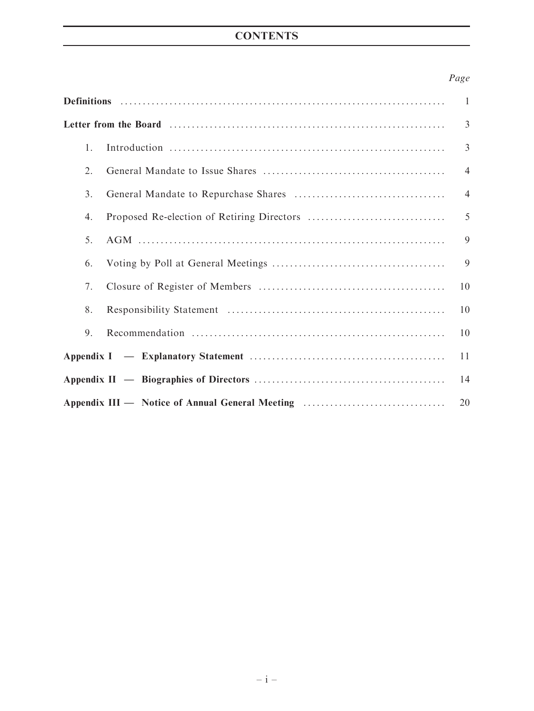# **CONTENTS**

## Page

|    |                                                 | $\mathbf{1}$   |
|----|-------------------------------------------------|----------------|
|    |                                                 | 3              |
| 1. |                                                 | $\overline{3}$ |
| 2. |                                                 | $\overline{4}$ |
| 3. |                                                 | $\overline{4}$ |
| 4. |                                                 | 5              |
| 5. |                                                 | 9              |
| 6. |                                                 | 9              |
| 7. |                                                 | 10             |
| 8. |                                                 | 10             |
| 9. |                                                 | 10             |
|    |                                                 | 11             |
|    |                                                 | 14             |
|    | Appendix III — Notice of Annual General Meeting | 20             |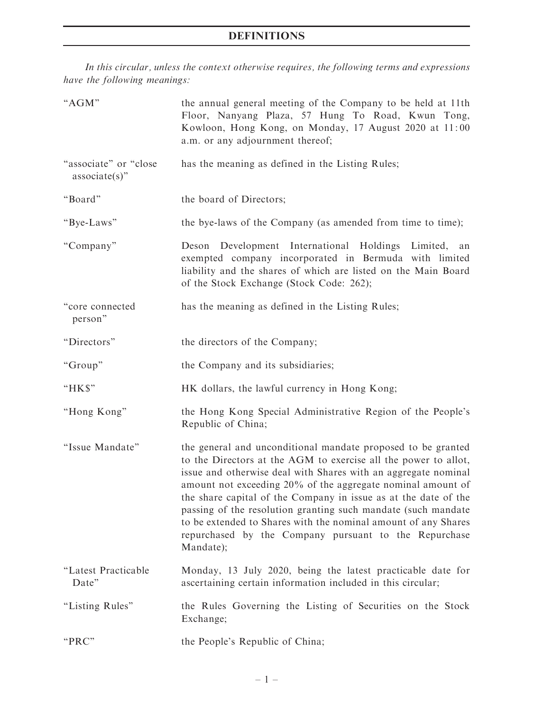# DEFINITIONS

In this circular, unless the context otherwise requires, the following terms and expressions have the following meanings:

| "AGM"                                     | the annual general meeting of the Company to be held at 11th<br>Floor, Nanyang Plaza, 57 Hung To Road, Kwun Tong,<br>Kowloon, Hong Kong, on Monday, 17 August 2020 at 11:00<br>a.m. or any adjournment thereof;                                                                                                                                                                                                                                                                                                                              |  |  |
|-------------------------------------------|----------------------------------------------------------------------------------------------------------------------------------------------------------------------------------------------------------------------------------------------------------------------------------------------------------------------------------------------------------------------------------------------------------------------------------------------------------------------------------------------------------------------------------------------|--|--|
| "associate" or "close<br>$associate(s)$ " | has the meaning as defined in the Listing Rules;                                                                                                                                                                                                                                                                                                                                                                                                                                                                                             |  |  |
| "Board"                                   | the board of Directors;                                                                                                                                                                                                                                                                                                                                                                                                                                                                                                                      |  |  |
| "Bye-Laws"                                | the bye-laws of the Company (as amended from time to time);                                                                                                                                                                                                                                                                                                                                                                                                                                                                                  |  |  |
| "Company"                                 | Deson Development International Holdings Limited,<br>an<br>exempted company incorporated in Bermuda with limited<br>liability and the shares of which are listed on the Main Board<br>of the Stock Exchange (Stock Code: 262);                                                                                                                                                                                                                                                                                                               |  |  |
| "core connected<br>person"                | has the meaning as defined in the Listing Rules;                                                                                                                                                                                                                                                                                                                                                                                                                                                                                             |  |  |
| "Directors"                               | the directors of the Company;                                                                                                                                                                                                                                                                                                                                                                                                                                                                                                                |  |  |
| "Group"                                   | the Company and its subsidiaries;                                                                                                                                                                                                                                                                                                                                                                                                                                                                                                            |  |  |
| "HK\$"                                    | HK dollars, the lawful currency in Hong Kong;                                                                                                                                                                                                                                                                                                                                                                                                                                                                                                |  |  |
| "Hong Kong"                               | the Hong Kong Special Administrative Region of the People's<br>Republic of China;                                                                                                                                                                                                                                                                                                                                                                                                                                                            |  |  |
| "Issue Mandate"                           | the general and unconditional mandate proposed to be granted<br>to the Directors at the AGM to exercise all the power to allot,<br>issue and otherwise deal with Shares with an aggregate nominal<br>amount not exceeding 20% of the aggregate nominal amount of<br>the share capital of the Company in issue as at the date of the<br>passing of the resolution granting such mandate (such mandate<br>to be extended to Shares with the nominal amount of any Shares<br>repurchased by the Company pursuant to the Repurchase<br>Mandate); |  |  |
| "Latest Practicable<br>Date"              | Monday, 13 July 2020, being the latest practicable date for<br>ascertaining certain information included in this circular;                                                                                                                                                                                                                                                                                                                                                                                                                   |  |  |
| "Listing Rules"                           | the Rules Governing the Listing of Securities on the Stock<br>Exchange;                                                                                                                                                                                                                                                                                                                                                                                                                                                                      |  |  |
| "PRC"                                     | the People's Republic of China;                                                                                                                                                                                                                                                                                                                                                                                                                                                                                                              |  |  |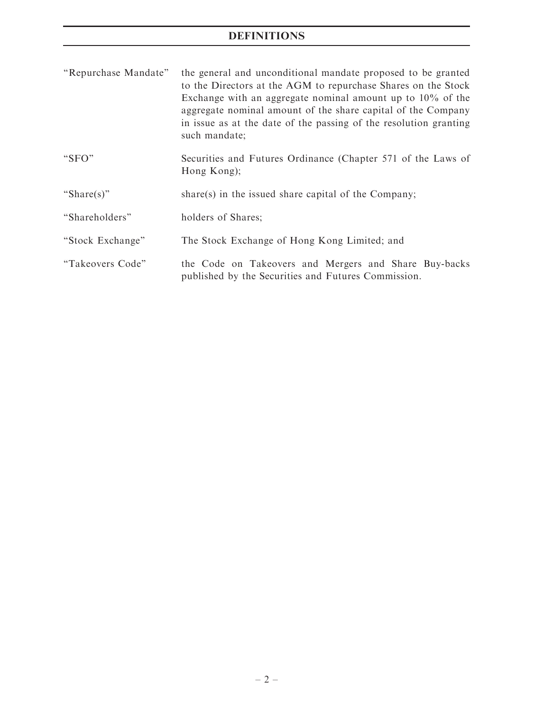# DEFINITIONS

| "Repurchase Mandate" | the general and unconditional mandate proposed to be granted<br>to the Directors at the AGM to repurchase Shares on the Stock<br>Exchange with an aggregate nominal amount up to $10\%$ of the<br>aggregate nominal amount of the share capital of the Company<br>in issue as at the date of the passing of the resolution granting<br>such mandate; |  |  |
|----------------------|------------------------------------------------------------------------------------------------------------------------------------------------------------------------------------------------------------------------------------------------------------------------------------------------------------------------------------------------------|--|--|
| " $SFO"$             | Securities and Futures Ordinance (Chapter 571 of the Laws of<br>Hong Kong);                                                                                                                                                                                                                                                                          |  |  |
| "Share(s)"           | share(s) in the issued share capital of the Company;                                                                                                                                                                                                                                                                                                 |  |  |
| "Shareholders"       | holders of Shares;                                                                                                                                                                                                                                                                                                                                   |  |  |
| "Stock Exchange"     | The Stock Exchange of Hong Kong Limited; and                                                                                                                                                                                                                                                                                                         |  |  |
| "Takeovers Code"     | the Code on Takeovers and Mergers and Share Buy-backs<br>published by the Securities and Futures Commission.                                                                                                                                                                                                                                         |  |  |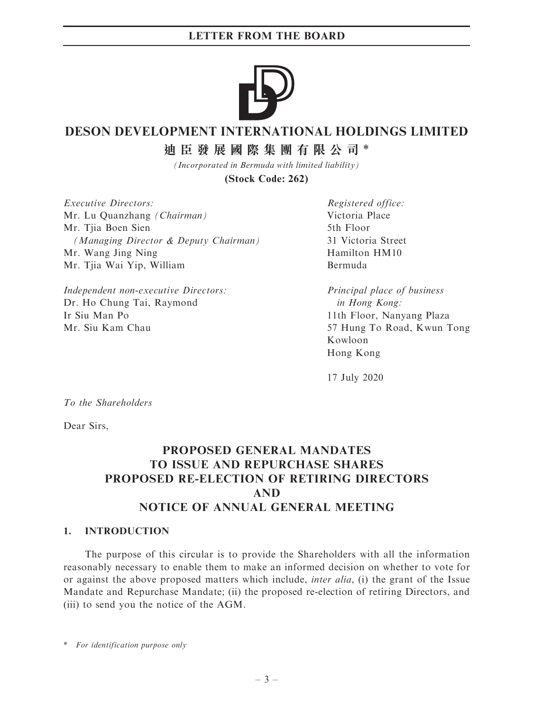

# **DESON DEVELOPMENT INTERNATIONAL HOLDINGS LIMITED**

**迪臣發展國際集團有限公司** \*

*(Incorporated in Bermuda with limited liability)* **(Stock Code: 262)**

Executive Directors: Mr. Lu Quanzhang (Chairman) Mr. Tiia Boen Sien (Managing Director & Deputy Chairman) Mr. Wang Jing Ning Mr. Tjia Wai Yip, William

Independent non-executive Directors: Dr. Ho Chung Tai, Raymond Ir Siu Man Po Mr. Siu Kam Chau

Registered office: Victoria Place 5th Floor 31 Victoria Street Hamilton HM10 Bermuda

Principal place of business in Hong Kong: 11th Floor, Nanyang Plaza 57 Hung To Road, Kwun Tong Kowloon Hong Kong

17 July 2020

To the Shareholders

Dear Sirs,

# PROPOSED GENERAL MANDATES TO ISSUE AND REPURCHASE SHARES PROPOSED RE-ELECTION OF RETIRING DIRECTORS AND NOTICE OF ANNUAL GENERAL MEETING

## 1. INTRODUCTION

The purpose of this circular is to provide the Shareholders with all the information reasonably necessary to enable them to make an informed decision on whether to vote for or against the above proposed matters which include, inter alia, (i) the grant of the Issue Mandate and Repurchase Mandate; (ii) the proposed re-election of retiring Directors, and (iii) to send you the notice of the AGM.

\* For identification purpose only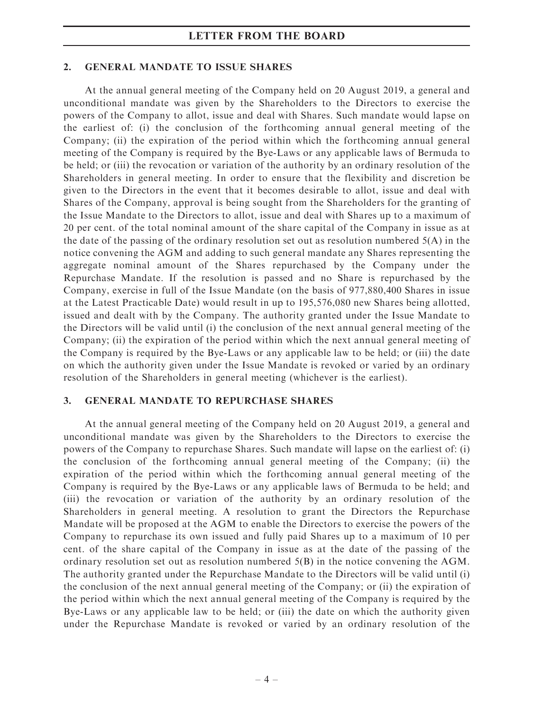#### 2. GENERAL MANDATE TO ISSUE SHARES

At the annual general meeting of the Company held on 20 August 2019, a general and unconditional mandate was given by the Shareholders to the Directors to exercise the powers of the Company to allot, issue and deal with Shares. Such mandate would lapse on the earliest of: (i) the conclusion of the forthcoming annual general meeting of the Company; (ii) the expiration of the period within which the forthcoming annual general meeting of the Company is required by the Bye-Laws or any applicable laws of Bermuda to be held; or (iii) the revocation or variation of the authority by an ordinary resolution of the Shareholders in general meeting. In order to ensure that the flexibility and discretion be given to the Directors in the event that it becomes desirable to allot, issue and deal with Shares of the Company, approval is being sought from the Shareholders for the granting of the Issue Mandate to the Directors to allot, issue and deal with Shares up to a maximum of 20 per cent. of the total nominal amount of the share capital of the Company in issue as at the date of the passing of the ordinary resolution set out as resolution numbered  $5(A)$  in the notice convening the AGM and adding to such general mandate any Shares representing the aggregate nominal amount of the Shares repurchased by the Company under the Repurchase Mandate. If the resolution is passed and no Share is repurchased by the Company, exercise in full of the Issue Mandate (on the basis of 977,880,400 Shares in issue at the Latest Practicable Date) would result in up to 195,576,080 new Shares being allotted, issued and dealt with by the Company. The authority granted under the Issue Mandate to the Directors will be valid until (i) the conclusion of the next annual general meeting of the Company; (ii) the expiration of the period within which the next annual general meeting of the Company is required by the Bye-Laws or any applicable law to be held; or (iii) the date on which the authority given under the Issue Mandate is revoked or varied by an ordinary resolution of the Shareholders in general meeting (whichever is the earliest).

### 3. GENERAL MANDATE TO REPURCHASE SHARES

At the annual general meeting of the Company held on 20 August 2019, a general and unconditional mandate was given by the Shareholders to the Directors to exercise the powers of the Company to repurchase Shares. Such mandate will lapse on the earliest of: (i) the conclusion of the forthcoming annual general meeting of the Company; (ii) the expiration of the period within which the forthcoming annual general meeting of the Company is required by the Bye-Laws or any applicable laws of Bermuda to be held; and (iii) the revocation or variation of the authority by an ordinary resolution of the Shareholders in general meeting. A resolution to grant the Directors the Repurchase Mandate will be proposed at the AGM to enable the Directors to exercise the powers of the Company to repurchase its own issued and fully paid Shares up to a maximum of 10 per cent. of the share capital of the Company in issue as at the date of the passing of the ordinary resolution set out as resolution numbered 5(B) in the notice convening the AGM. The authority granted under the Repurchase Mandate to the Directors will be valid until (i) the conclusion of the next annual general meeting of the Company; or (ii) the expiration of the period within which the next annual general meeting of the Company is required by the Bye-Laws or any applicable law to be held; or (iii) the date on which the authority given under the Repurchase Mandate is revoked or varied by an ordinary resolution of the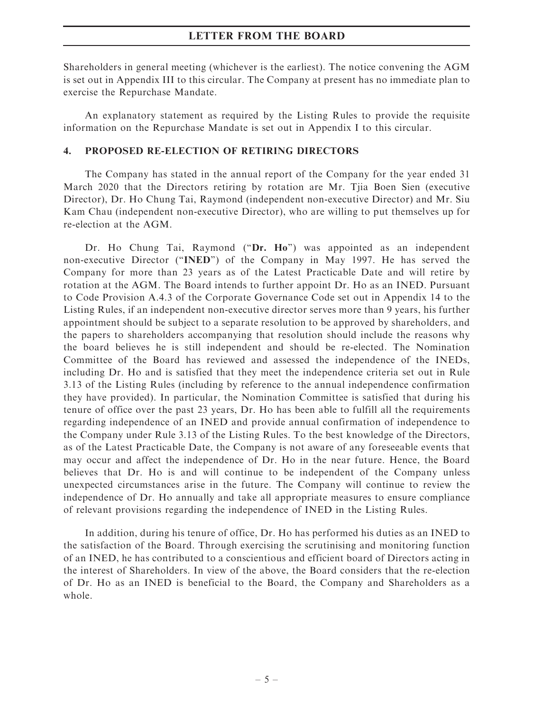Shareholders in general meeting (whichever is the earliest). The notice convening the AGM is set out in Appendix III to this circular. The Company at present has no immediate plan to exercise the Repurchase Mandate.

An explanatory statement as required by the Listing Rules to provide the requisite information on the Repurchase Mandate is set out in Appendix I to this circular.

### 4. PROPOSED RE-ELECTION OF RETIRING DIRECTORS

The Company has stated in the annual report of the Company for the year ended 31 March 2020 that the Directors retiring by rotation are Mr. Tjia Boen Sien (executive Director), Dr. Ho Chung Tai, Raymond (independent non-executive Director) and Mr. Siu Kam Chau (independent non-executive Director), who are willing to put themselves up for re-election at the AGM.

Dr. Ho Chung Tai, Raymond ("Dr. Ho") was appointed as an independent non-executive Director (''INED'') of the Company in May 1997. He has served the Company for more than 23 years as of the Latest Practicable Date and will retire by rotation at the AGM. The Board intends to further appoint Dr. Ho as an INED. Pursuant to Code Provision A.4.3 of the Corporate Governance Code set out in Appendix 14 to the Listing Rules, if an independent non-executive director serves more than 9 years, his further appointment should be subject to a separate resolution to be approved by shareholders, and the papers to shareholders accompanying that resolution should include the reasons why the board believes he is still independent and should be re-elected. The Nomination Committee of the Board has reviewed and assessed the independence of the INEDs, including Dr. Ho and is satisfied that they meet the independence criteria set out in Rule 3.13 of the Listing Rules (including by reference to the annual independence confirmation they have provided). In particular, the Nomination Committee is satisfied that during his tenure of office over the past 23 years, Dr. Ho has been able to fulfill all the requirements regarding independence of an INED and provide annual confirmation of independence to the Company under Rule 3.13 of the Listing Rules. To the best knowledge of the Directors, as of the Latest Practicable Date, the Company is not aware of any foreseeable events that may occur and affect the independence of Dr. Ho in the near future. Hence, the Board believes that Dr. Ho is and will continue to be independent of the Company unless unexpected circumstances arise in the future. The Company will continue to review the independence of Dr. Ho annually and take all appropriate measures to ensure compliance of relevant provisions regarding the independence of INED in the Listing Rules.

In addition, during his tenure of office, Dr. Ho has performed his duties as an INED to the satisfaction of the Board. Through exercising the scrutinising and monitoring function of an INED, he has contributed to a conscientious and efficient board of Directors acting in the interest of Shareholders. In view of the above, the Board considers that the re-election of Dr. Ho as an INED is beneficial to the Board, the Company and Shareholders as a whole.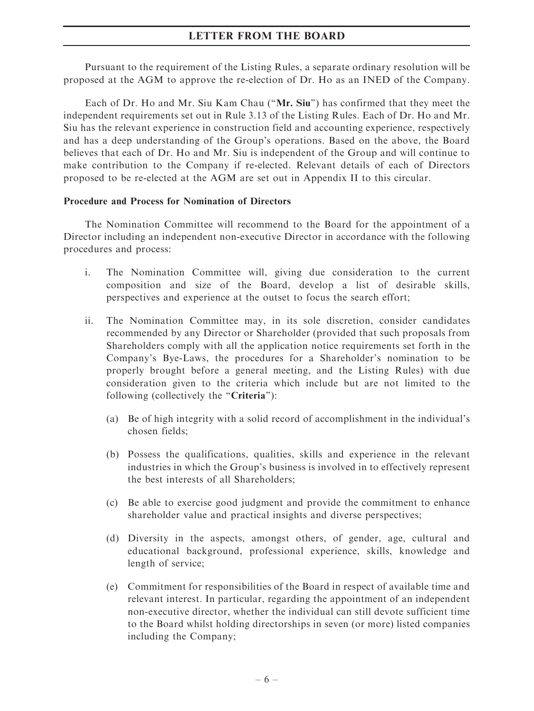Pursuant to the requirement of the Listing Rules, a separate ordinary resolution will be proposed at the AGM to approve the re-election of Dr. Ho as an INED of the Company.

Each of Dr. Ho and Mr. Siu Kam Chau (''Mr. Siu'') has confirmed that they meet the independent requirements set out in Rule 3.13 of the Listing Rules. Each of Dr. Ho and Mr. Siu has the relevant experience in construction field and accounting experience, respectively and has a deep understanding of the Group's operations. Based on the above, the Board believes that each of Dr. Ho and Mr. Siu is independent of the Group and will continue to make contribution to the Company if re-elected. Relevant details of each of Directors proposed to be re-elected at the AGM are set out in Appendix II to this circular.

### Procedure and Process for Nomination of Directors

The Nomination Committee will recommend to the Board for the appointment of a Director including an independent non-executive Director in accordance with the following procedures and process:

- i. The Nomination Committee will, giving due consideration to the current composition and size of the Board, develop a list of desirable skills, perspectives and experience at the outset to focus the search effort;
- ii. The Nomination Committee may, in its sole discretion, consider candidates recommended by any Director or Shareholder (provided that such proposals from Shareholders comply with all the application notice requirements set forth in the Company's Bye-Laws, the procedures for a Shareholder's nomination to be properly brought before a general meeting, and the Listing Rules) with due consideration given to the criteria which include but are not limited to the following (collectively the "Criteria"):
	- (a) Be of high integrity with a solid record of accomplishment in the individual's chosen fields;
	- (b) Possess the qualifications, qualities, skills and experience in the relevant industries in which the Group's business is involved in to effectively represent the best interests of all Shareholders;
	- (c) Be able to exercise good judgment and provide the commitment to enhance shareholder value and practical insights and diverse perspectives;
	- (d) Diversity in the aspects, amongst others, of gender, age, cultural and educational background, professional experience, skills, knowledge and length of service;
	- (e) Commitment for responsibilities of the Board in respect of available time and relevant interest. In particular, regarding the appointment of an independent non-executive director, whether the individual can still devote sufficient time to the Board whilst holding directorships in seven (or more) listed companies including the Company;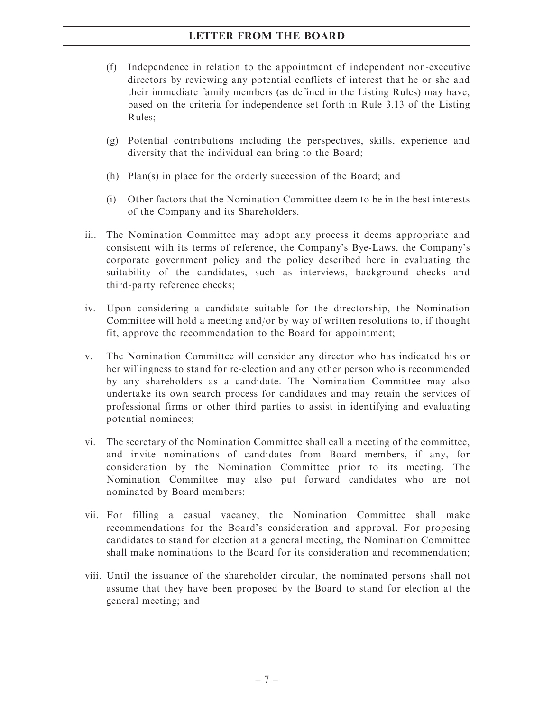- (f) Independence in relation to the appointment of independent non-executive directors by reviewing any potential conflicts of interest that he or she and their immediate family members (as defined in the Listing Rules) may have, based on the criteria for independence set forth in Rule 3.13 of the Listing Rules;
- (g) Potential contributions including the perspectives, skills, experience and diversity that the individual can bring to the Board;
- (h) Plan(s) in place for the orderly succession of the Board; and
- (i) Other factors that the Nomination Committee deem to be in the best interests of the Company and its Shareholders.
- iii. The Nomination Committee may adopt any process it deems appropriate and consistent with its terms of reference, the Company's Bye-Laws, the Company's corporate government policy and the policy described here in evaluating the suitability of the candidates, such as interviews, background checks and third-party reference checks;
- iv. Upon considering a candidate suitable for the directorship, the Nomination Committee will hold a meeting and/or by way of written resolutions to, if thought fit, approve the recommendation to the Board for appointment;
- v. The Nomination Committee will consider any director who has indicated his or her willingness to stand for re-election and any other person who is recommended by any shareholders as a candidate. The Nomination Committee may also undertake its own search process for candidates and may retain the services of professional firms or other third parties to assist in identifying and evaluating potential nominees;
- vi. The secretary of the Nomination Committee shall call a meeting of the committee, and invite nominations of candidates from Board members, if any, for consideration by the Nomination Committee prior to its meeting. The Nomination Committee may also put forward candidates who are not nominated by Board members;
- vii. For filling a casual vacancy, the Nomination Committee shall make recommendations for the Board's consideration and approval. For proposing candidates to stand for election at a general meeting, the Nomination Committee shall make nominations to the Board for its consideration and recommendation;
- viii. Until the issuance of the shareholder circular, the nominated persons shall not assume that they have been proposed by the Board to stand for election at the general meeting; and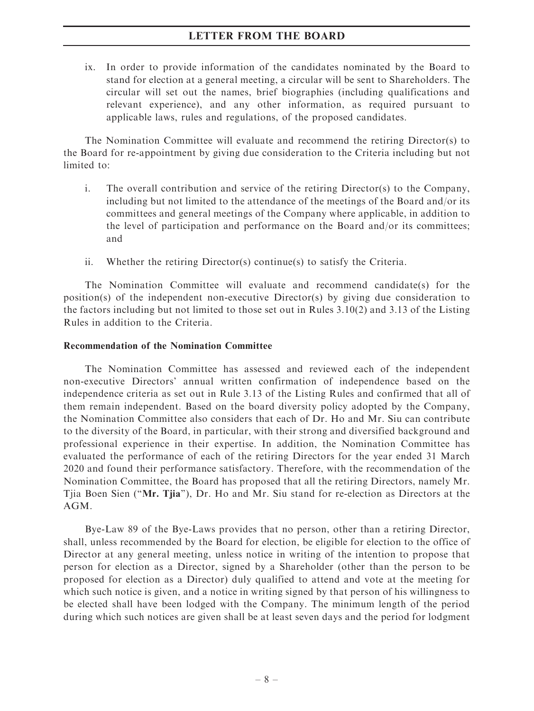ix. In order to provide information of the candidates nominated by the Board to stand for election at a general meeting, a circular will be sent to Shareholders. The circular will set out the names, brief biographies (including qualifications and relevant experience), and any other information, as required pursuant to applicable laws, rules and regulations, of the proposed candidates.

The Nomination Committee will evaluate and recommend the retiring Director(s) to the Board for re-appointment by giving due consideration to the Criteria including but not limited to:

- i. The overall contribution and service of the retiring  $Direction(s)$  to the Company, including but not limited to the attendance of the meetings of the Board and/or its committees and general meetings of the Company where applicable, in addition to the level of participation and performance on the Board and/or its committees; and
- ii. Whether the retiring Director(s) continue(s) to satisfy the Criteria.

The Nomination Committee will evaluate and recommend candidate(s) for the position(s) of the independent non-executive Director(s) by giving due consideration to the factors including but not limited to those set out in Rules 3.10(2) and 3.13 of the Listing Rules in addition to the Criteria.

## Recommendation of the Nomination Committee

The Nomination Committee has assessed and reviewed each of the independent non-executive Directors' annual written confirmation of independence based on the independence criteria as set out in Rule 3.13 of the Listing Rules and confirmed that all of them remain independent. Based on the board diversity policy adopted by the Company, the Nomination Committee also considers that each of Dr. Ho and Mr. Siu can contribute to the diversity of the Board, in particular, with their strong and diversified background and professional experience in their expertise. In addition, the Nomination Committee has evaluated the performance of each of the retiring Directors for the year ended 31 March 2020 and found their performance satisfactory. Therefore, with the recommendation of the Nomination Committee, the Board has proposed that all the retiring Directors, namely Mr. Tjia Boen Sien (''Mr. Tjia''), Dr. Ho and Mr. Siu stand for re-election as Directors at the AGM.

Bye-Law 89 of the Bye-Laws provides that no person, other than a retiring Director, shall, unless recommended by the Board for election, be eligible for election to the office of Director at any general meeting, unless notice in writing of the intention to propose that person for election as a Director, signed by a Shareholder (other than the person to be proposed for election as a Director) duly qualified to attend and vote at the meeting for which such notice is given, and a notice in writing signed by that person of his willingness to be elected shall have been lodged with the Company. The minimum length of the period during which such notices are given shall be at least seven days and the period for lodgment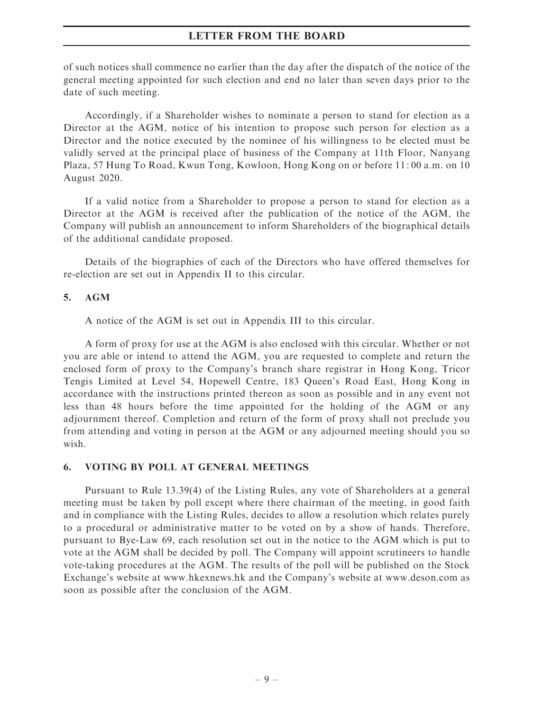of such notices shall commence no earlier than the day after the dispatch of the notice of the general meeting appointed for such election and end no later than seven days prior to the date of such meeting.

Accordingly, if a Shareholder wishes to nominate a person to stand for election as a Director at the AGM, notice of his intention to propose such person for election as a Director and the notice executed by the nominee of his willingness to be elected must be validly served at the principal place of business of the Company at 11th Floor, Nanyang Plaza, 57 Hung To Road, Kwun Tong, Kowloon, Hong Kong on or before 11: 00 a.m. on 10 August 2020.

If a valid notice from a Shareholder to propose a person to stand for election as a Director at the AGM is received after the publication of the notice of the AGM, the Company will publish an announcement to inform Shareholders of the biographical details of the additional candidate proposed.

Details of the biographies of each of the Directors who have offered themselves for re-election are set out in Appendix II to this circular.

### 5. AGM

A notice of the AGM is set out in Appendix III to this circular.

A form of proxy for use at the AGM is also enclosed with this circular. Whether or not you are able or intend to attend the AGM, you are requested to complete and return the enclosed form of proxy to the Company's branch share registrar in Hong Kong, Tricor Tengis Limited at Level 54, Hopewell Centre, 183 Queen's Road East, Hong Kong in accordance with the instructions printed thereon as soon as possible and in any event not less than 48 hours before the time appointed for the holding of the AGM or any adjournment thereof. Completion and return of the form of proxy shall not preclude you from attending and voting in person at the AGM or any adjourned meeting should you so wish.

## 6. VOTING BY POLL AT GENERAL MEETINGS

Pursuant to Rule 13.39(4) of the Listing Rules, any vote of Shareholders at a general meeting must be taken by poll except where there chairman of the meeting, in good faith and in compliance with the Listing Rules, decides to allow a resolution which relates purely to a procedural or administrative matter to be voted on by a show of hands. Therefore, pursuant to Bye-Law 69, each resolution set out in the notice to the AGM which is put to vote at the AGM shall be decided by poll. The Company will appoint scrutineers to handle vote-taking procedures at the AGM. The results of the poll will be published on the Stock Exchange's website at www.hkexnews.hk and the Company's website at www.deson.com as soon as possible after the conclusion of the AGM.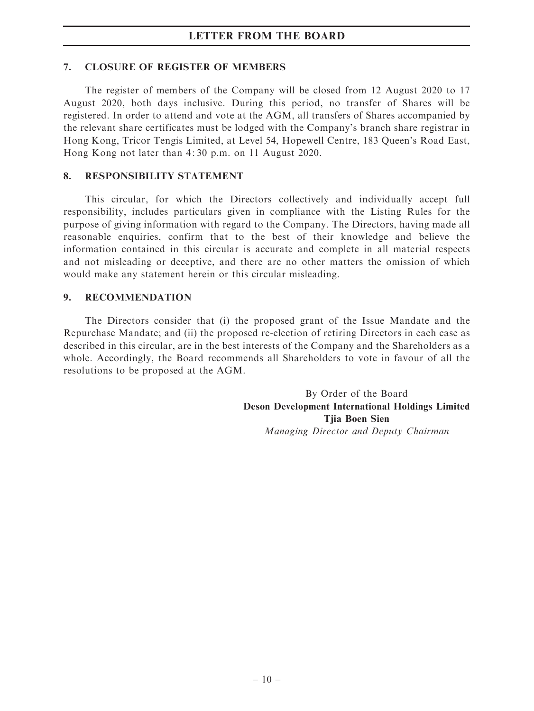#### 7. CLOSURE OF REGISTER OF MEMBERS

The register of members of the Company will be closed from 12 August 2020 to 17 August 2020, both days inclusive. During this period, no transfer of Shares will be registered. In order to attend and vote at the AGM, all transfers of Shares accompanied by the relevant share certificates must be lodged with the Company's branch share registrar in Hong Kong, Tricor Tengis Limited, at Level 54, Hopewell Centre, 183 Queen's Road East, Hong Kong not later than 4: 30 p.m. on 11 August 2020.

### 8. RESPONSIBILITY STATEMENT

This circular, for which the Directors collectively and individually accept full responsibility, includes particulars given in compliance with the Listing Rules for the purpose of giving information with regard to the Company. The Directors, having made all reasonable enquiries, confirm that to the best of their knowledge and believe the information contained in this circular is accurate and complete in all material respects and not misleading or deceptive, and there are no other matters the omission of which would make any statement herein or this circular misleading.

### 9. RECOMMENDATION

The Directors consider that (i) the proposed grant of the Issue Mandate and the Repurchase Mandate; and (ii) the proposed re-election of retiring Directors in each case as described in this circular, are in the best interests of the Company and the Shareholders as a whole. Accordingly, the Board recommends all Shareholders to vote in favour of all the resolutions to be proposed at the AGM.

> By Order of the Board Deson Development International Holdings Limited Tjia Boen Sien Managing Director and Deputy Chairman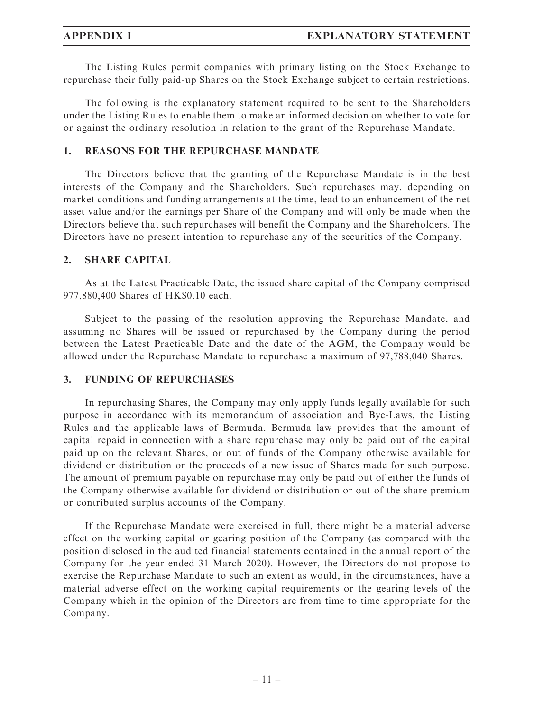The Listing Rules permit companies with primary listing on the Stock Exchange to repurchase their fully paid-up Shares on the Stock Exchange subject to certain restrictions.

The following is the explanatory statement required to be sent to the Shareholders under the Listing Rules to enable them to make an informed decision on whether to vote for or against the ordinary resolution in relation to the grant of the Repurchase Mandate.

## 1. REASONS FOR THE REPURCHASE MANDATE

The Directors believe that the granting of the Repurchase Mandate is in the best interests of the Company and the Shareholders. Such repurchases may, depending on market conditions and funding arrangements at the time, lead to an enhancement of the net asset value and/or the earnings per Share of the Company and will only be made when the Directors believe that such repurchases will benefit the Company and the Shareholders. The Directors have no present intention to repurchase any of the securities of the Company.

## 2. SHARE CAPITAL

As at the Latest Practicable Date, the issued share capital of the Company comprised 977,880,400 Shares of HK\$0.10 each.

Subject to the passing of the resolution approving the Repurchase Mandate, and assuming no Shares will be issued or repurchased by the Company during the period between the Latest Practicable Date and the date of the AGM, the Company would be allowed under the Repurchase Mandate to repurchase a maximum of 97,788,040 Shares.

## 3. FUNDING OF REPURCHASES

In repurchasing Shares, the Company may only apply funds legally available for such purpose in accordance with its memorandum of association and Bye-Laws, the Listing Rules and the applicable laws of Bermuda. Bermuda law provides that the amount of capital repaid in connection with a share repurchase may only be paid out of the capital paid up on the relevant Shares, or out of funds of the Company otherwise available for dividend or distribution or the proceeds of a new issue of Shares made for such purpose. The amount of premium payable on repurchase may only be paid out of either the funds of the Company otherwise available for dividend or distribution or out of the share premium or contributed surplus accounts of the Company.

If the Repurchase Mandate were exercised in full, there might be a material adverse effect on the working capital or gearing position of the Company (as compared with the position disclosed in the audited financial statements contained in the annual report of the Company for the year ended 31 March 2020). However, the Directors do not propose to exercise the Repurchase Mandate to such an extent as would, in the circumstances, have a material adverse effect on the working capital requirements or the gearing levels of the Company which in the opinion of the Directors are from time to time appropriate for the Company.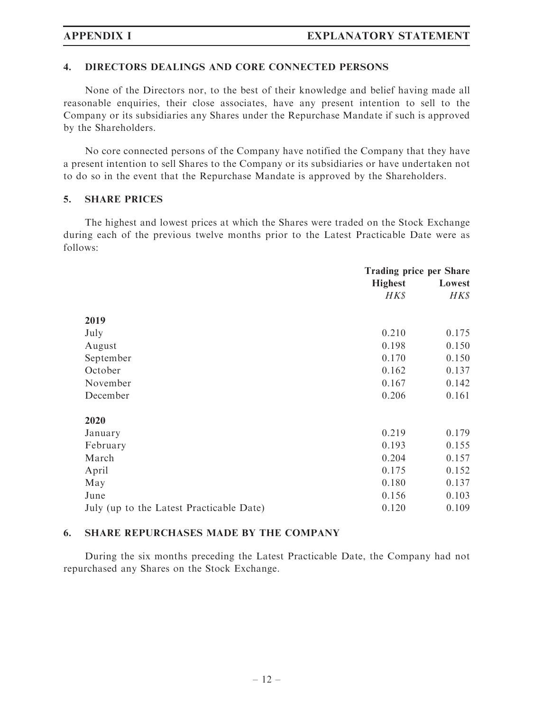### 4. DIRECTORS DEALINGS AND CORE CONNECTED PERSONS

None of the Directors nor, to the best of their knowledge and belief having made all reasonable enquiries, their close associates, have any present intention to sell to the Company or its subsidiaries any Shares under the Repurchase Mandate if such is approved by the Shareholders.

No core connected persons of the Company have notified the Company that they have a present intention to sell Shares to the Company or its subsidiaries or have undertaken not to do so in the event that the Repurchase Mandate is approved by the Shareholders.

### 5. SHARE PRICES

The highest and lowest prices at which the Shares were traded on the Stock Exchange during each of the previous twelve months prior to the Latest Practicable Date were as follows:

|                                          | <b>Trading price per Share</b> |        |
|------------------------------------------|--------------------------------|--------|
|                                          | <b>Highest</b>                 | Lowest |
|                                          | HK\$                           | H K S  |
| 2019                                     |                                |        |
| July                                     | 0.210                          | 0.175  |
| August                                   | 0.198                          | 0.150  |
| September                                | 0.170                          | 0.150  |
| October                                  | 0.162                          | 0.137  |
| November                                 | 0.167                          | 0.142  |
| December                                 | 0.206                          | 0.161  |
| 2020                                     |                                |        |
| January                                  | 0.219                          | 0.179  |
| February                                 | 0.193                          | 0.155  |
| March                                    | 0.204                          | 0.157  |
| April                                    | 0.175                          | 0.152  |
| May                                      | 0.180                          | 0.137  |
| June                                     | 0.156                          | 0.103  |
| July (up to the Latest Practicable Date) | 0.120                          | 0.109  |

## 6. SHARE REPURCHASES MADE BY THE COMPANY

During the six months preceding the Latest Practicable Date, the Company had not repurchased any Shares on the Stock Exchange.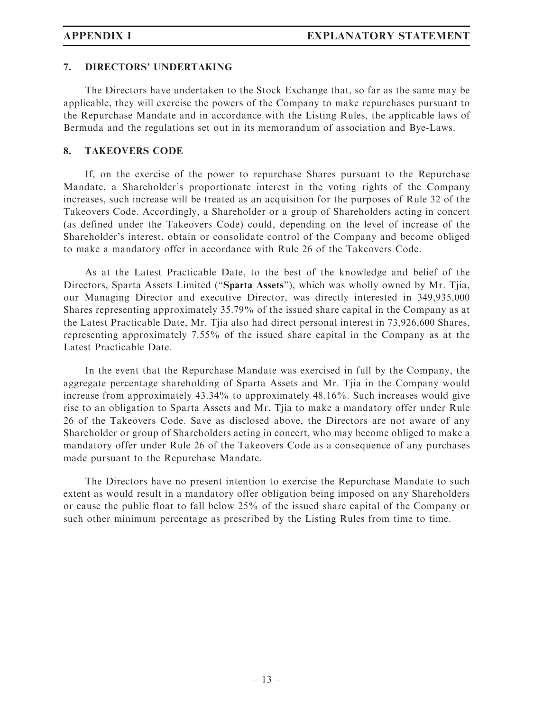### 7. DIRECTORS' UNDERTAKING

The Directors have undertaken to the Stock Exchange that, so far as the same may be applicable, they will exercise the powers of the Company to make repurchases pursuant to the Repurchase Mandate and in accordance with the Listing Rules, the applicable laws of Bermuda and the regulations set out in its memorandum of association and Bye-Laws.

### 8. TAKEOVERS CODE

If, on the exercise of the power to repurchase Shares pursuant to the Repurchase Mandate, a Shareholder's proportionate interest in the voting rights of the Company increases, such increase will be treated as an acquisition for the purposes of Rule 32 of the Takeovers Code. Accordingly, a Shareholder or a group of Shareholders acting in concert (as defined under the Takeovers Code) could, depending on the level of increase of the Shareholder's interest, obtain or consolidate control of the Company and become obliged to make a mandatory offer in accordance with Rule 26 of the Takeovers Code.

As at the Latest Practicable Date, to the best of the knowledge and belief of the Directors, Sparta Assets Limited (''Sparta Assets''), which was wholly owned by Mr. Tjia, our Managing Director and executive Director, was directly interested in 349,935,000 Shares representing approximately 35.79% of the issued share capital in the Company as at the Latest Practicable Date, Mr. Tjia also had direct personal interest in 73,926,600 Shares, representing approximately 7.55% of the issued share capital in the Company as at the Latest Practicable Date.

In the event that the Repurchase Mandate was exercised in full by the Company, the aggregate percentage shareholding of Sparta Assets and Mr. Tjia in the Company would increase from approximately 43.34% to approximately 48.16%. Such increases would give rise to an obligation to Sparta Assets and Mr. Tjia to make a mandatory offer under Rule 26 of the Takeovers Code. Save as disclosed above, the Directors are not aware of any Shareholder or group of Shareholders acting in concert, who may become obliged to make a mandatory offer under Rule 26 of the Takeovers Code as a consequence of any purchases made pursuant to the Repurchase Mandate.

The Directors have no present intention to exercise the Repurchase Mandate to such extent as would result in a mandatory offer obligation being imposed on any Shareholders or cause the public float to fall below 25% of the issued share capital of the Company or such other minimum percentage as prescribed by the Listing Rules from time to time.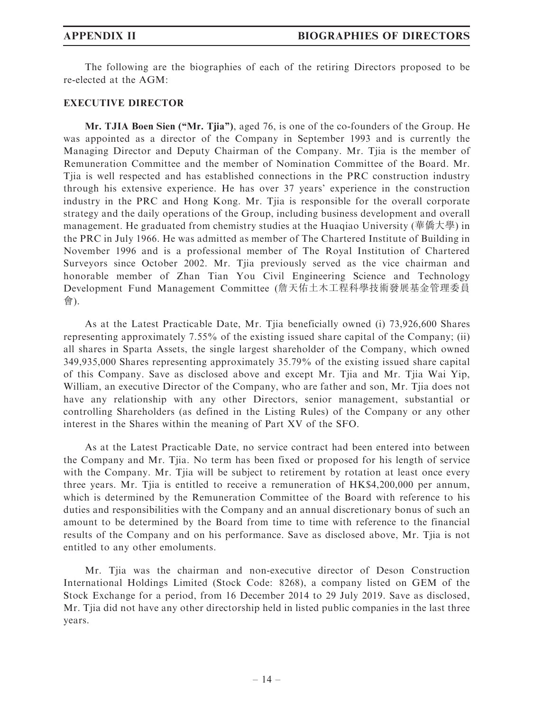The following are the biographies of each of the retiring Directors proposed to be re-elected at the AGM:

### EXECUTIVE DIRECTOR

Mr. TJIA Boen Sien (''Mr. Tjia''), aged 76, is one of the co-founders of the Group. He was appointed as a director of the Company in September 1993 and is currently the Managing Director and Deputy Chairman of the Company. Mr. Tjia is the member of Remuneration Committee and the member of Nomination Committee of the Board. Mr. Tjia is well respected and has established connections in the PRC construction industry through his extensive experience. He has over 37 years' experience in the construction industry in the PRC and Hong Kong. Mr. Tjia is responsible for the overall corporate strategy and the daily operations of the Group, including business development and overall management. He graduated from chemistry studies at the Huaqiao University (華僑大學) in the PRC in July 1966. He was admitted as member of The Chartered Institute of Building in November 1996 and is a professional member of The Royal Institution of Chartered Surveyors since October 2002. Mr. Tjia previously served as the vice chairman and honorable member of Zhan Tian You Civil Engineering Science and Technology Development Fund Management Committee (詹天佑土木工程科學技術發展基金管理委員 會).

As at the Latest Practicable Date, Mr. Tjia beneficially owned (i) 73,926,600 Shares representing approximately 7.55% of the existing issued share capital of the Company; (ii) all shares in Sparta Assets, the single largest shareholder of the Company, which owned 349,935,000 Shares representing approximately 35.79% of the existing issued share capital of this Company. Save as disclosed above and except Mr. Tjia and Mr. Tjia Wai Yip, William, an executive Director of the Company, who are father and son, Mr. Tjia does not have any relationship with any other Directors, senior management, substantial or controlling Shareholders (as defined in the Listing Rules) of the Company or any other interest in the Shares within the meaning of Part XV of the SFO.

As at the Latest Practicable Date, no service contract had been entered into between the Company and Mr. Tjia. No term has been fixed or proposed for his length of service with the Company. Mr. Tjia will be subject to retirement by rotation at least once every three years. Mr. Tjia is entitled to receive a remuneration of HK\$4,200,000 per annum, which is determined by the Remuneration Committee of the Board with reference to his duties and responsibilities with the Company and an annual discretionary bonus of such an amount to be determined by the Board from time to time with reference to the financial results of the Company and on his performance. Save as disclosed above, Mr. Tjia is not entitled to any other emoluments.

Mr. Tjia was the chairman and non-executive director of Deson Construction International Holdings Limited (Stock Code: 8268), a company listed on GEM of the Stock Exchange for a period, from 16 December 2014 to 29 July 2019. Save as disclosed, Mr. Tjia did not have any other directorship held in listed public companies in the last three years.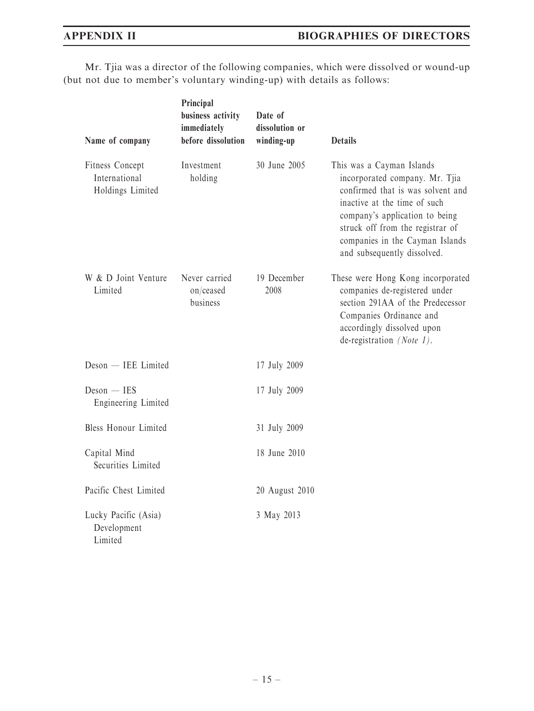Mr. Tjia was a director of the following companies, which were dissolved or wound-up (but not due to member's voluntary winding-up) with details as follows:

| Name of company                                      | Principal<br>business activity<br>immediately<br>before dissolution | Date of<br>dissolution or<br>winding-up | <b>Details</b>                                                                                                                                                                                                                                                           |
|------------------------------------------------------|---------------------------------------------------------------------|-----------------------------------------|--------------------------------------------------------------------------------------------------------------------------------------------------------------------------------------------------------------------------------------------------------------------------|
| Fitness Concept<br>International<br>Holdings Limited | Investment<br>holding                                               | 30 June 2005                            | This was a Cayman Islands<br>incorporated company. Mr. Tjia<br>confirmed that is was solvent and<br>inactive at the time of such<br>company's application to being<br>struck off from the registrar of<br>companies in the Cayman Islands<br>and subsequently dissolved. |
| W & D Joint Venture<br>Limited                       | Never carried<br>on/ceased<br>business                              | 19 December<br>2008                     | These were Hong Kong incorporated<br>companies de-registered under<br>section 291AA of the Predecessor<br>Companies Ordinance and<br>accordingly dissolved upon<br>de-registration (Note 1).                                                                             |
| Deson - IEE Limited                                  |                                                                     | 17 July 2009                            |                                                                                                                                                                                                                                                                          |
| $Deson - IES$<br>Engineering Limited                 |                                                                     | 17 July 2009                            |                                                                                                                                                                                                                                                                          |
| Bless Honour Limited                                 |                                                                     | 31 July 2009                            |                                                                                                                                                                                                                                                                          |
| Capital Mind<br>Securities Limited                   |                                                                     | 18 June 2010                            |                                                                                                                                                                                                                                                                          |
| Pacific Chest Limited                                |                                                                     | 20 August 2010                          |                                                                                                                                                                                                                                                                          |
| Lucky Pacific (Asia)<br>Development<br>Limited       |                                                                     | 3 May 2013                              |                                                                                                                                                                                                                                                                          |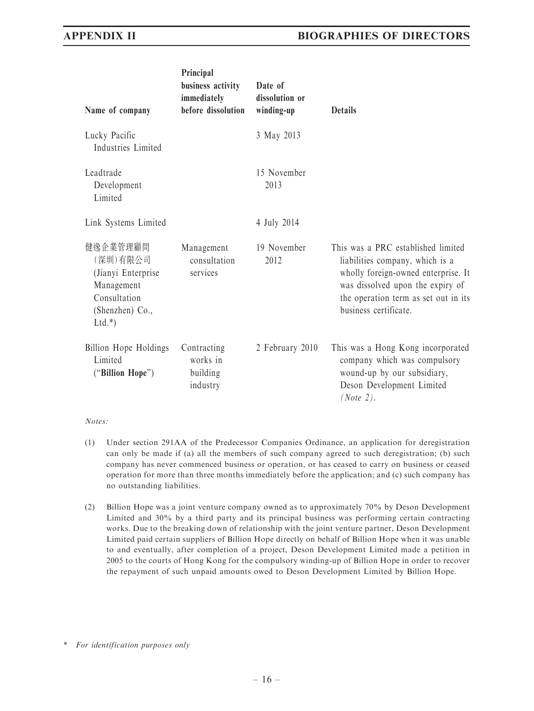| Name of company                                                                                        | Principal<br>business activity<br>immediately<br>before dissolution | Date of<br>dissolution or<br>winding-up | <b>Details</b>                                                                                                                                                                                                    |
|--------------------------------------------------------------------------------------------------------|---------------------------------------------------------------------|-----------------------------------------|-------------------------------------------------------------------------------------------------------------------------------------------------------------------------------------------------------------------|
| Lucky Pacific<br>Industries Limited                                                                    |                                                                     | 3 May 2013                              |                                                                                                                                                                                                                   |
| Leadtrade<br>Development<br>Limited                                                                    |                                                                     | 15 November<br>2013                     |                                                                                                                                                                                                                   |
| Link Systems Limited                                                                                   |                                                                     | 4 July 2014                             |                                                                                                                                                                                                                   |
| 健逸企業管理顧問<br>(深圳)有限公司<br>(Jianyi Enterprise<br>Management<br>Consultation<br>(Shenzhen) Co.,<br>$Ltd.*$ | Management<br>consultation<br>services                              | 19 November<br>2012                     | This was a PRC established limited<br>liabilities company, which is a<br>wholly foreign-owned enterprise. It<br>was dissolved upon the expiry of<br>the operation term as set out in its<br>business certificate. |
| Billion Hope Holdings<br>Limited<br>("Billion Hope")                                                   | Contracting<br>works in<br>building<br>industry                     | 2 February 2010                         | This was a Hong Kong incorporated<br>company which was compulsory<br>wound-up by our subsidiary,<br>Deson Development Limited<br>(Note 2).                                                                        |

#### Notes:

- (1) Under section 291AA of the Predecessor Companies Ordinance, an application for deregistration can only be made if (a) all the members of such company agreed to such deregistration; (b) such company has never commenced business or operation, or has ceased to carry on business or ceased operation for more than three months immediately before the application; and (c) such company has no outstanding liabilities.
- (2) Billion Hope was a joint venture company owned as to approximately 70% by Deson Development Limited and 30% by a third party and its principal business was performing certain contracting works. Due to the breaking down of relationship with the joint venture partner, Deson Development Limited paid certain suppliers of Billion Hope directly on behalf of Billion Hope when it was unable to and eventually, after completion of a project, Deson Development Limited made a petition in 2005 to the courts of Hong Kong for the compulsory winding-up of Billion Hope in order to recover the repayment of such unpaid amounts owed to Deson Development Limited by Billion Hope.

<sup>\*</sup> For identification purposes only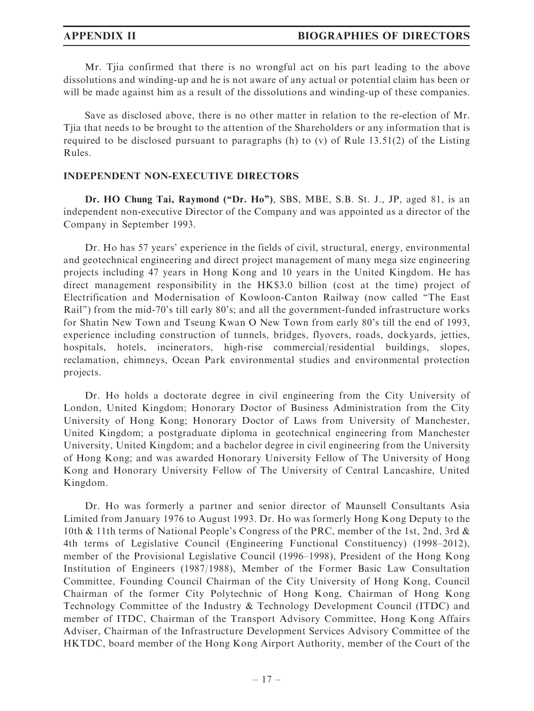Mr. Tjia confirmed that there is no wrongful act on his part leading to the above dissolutions and winding-up and he is not aware of any actual or potential claim has been or will be made against him as a result of the dissolutions and winding-up of these companies.

Save as disclosed above, there is no other matter in relation to the re-election of Mr. Tjia that needs to be brought to the attention of the Shareholders or any information that is required to be disclosed pursuant to paragraphs (h) to (v) of Rule 13.51(2) of the Listing Rules.

### INDEPENDENT NON-EXECUTIVE DIRECTORS

Dr. HO Chung Tai, Raymond ("Dr. Ho"), SBS, MBE, S.B. St. J., JP, aged 81, is an independent non-executive Director of the Company and was appointed as a director of the Company in September 1993.

Dr. Ho has 57 years' experience in the fields of civil, structural, energy, environmental and geotechnical engineering and direct project management of many mega size engineering projects including 47 years in Hong Kong and 10 years in the United Kingdom. He has direct management responsibility in the HK\$3.0 billion (cost at the time) project of Electrification and Modernisation of Kowloon-Canton Railway (now called ''The East Rail'') from the mid-70's till early 80's; and all the government-funded infrastructure works for Shatin New Town and Tseung Kwan O New Town from early 80's till the end of 1993, experience including construction of tunnels, bridges, flyovers, roads, dockyards, jetties, hospitals, hotels, incinerators, high-rise commercial/residential buildings, slopes, reclamation, chimneys, Ocean Park environmental studies and environmental protection projects.

Dr. Ho holds a doctorate degree in civil engineering from the City University of London, United Kingdom; Honorary Doctor of Business Administration from the City University of Hong Kong; Honorary Doctor of Laws from University of Manchester, United Kingdom; a postgraduate diploma in geotechnical engineering from Manchester University, United Kingdom; and a bachelor degree in civil engineering from the University of Hong Kong; and was awarded Honorary University Fellow of The University of Hong Kong and Honorary University Fellow of The University of Central Lancashire, United Kingdom.

Dr. Ho was formerly a partner and senior director of Maunsell Consultants Asia Limited from January 1976 to August 1993. Dr. Ho was formerly Hong Kong Deputy to the 10th & 11th terms of National People's Congress of the PRC, member of the 1st, 2nd, 3rd & 4th terms of Legislative Council (Engineering Functional Constituency) (1998–2012), member of the Provisional Legislative Council (1996–1998), President of the Hong Kong Institution of Engineers (1987/1988), Member of the Former Basic Law Consultation Committee, Founding Council Chairman of the City University of Hong Kong, Council Chairman of the former City Polytechnic of Hong Kong, Chairman of Hong Kong Technology Committee of the Industry & Technology Development Council (ITDC) and member of ITDC, Chairman of the Transport Advisory Committee, Hong Kong Affairs Adviser, Chairman of the Infrastructure Development Services Advisory Committee of the HKTDC, board member of the Hong Kong Airport Authority, member of the Court of the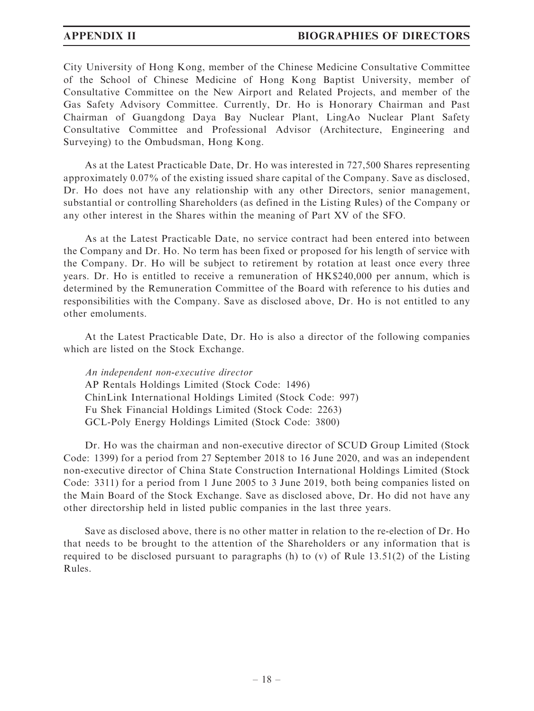City University of Hong Kong, member of the Chinese Medicine Consultative Committee of the School of Chinese Medicine of Hong Kong Baptist University, member of Consultative Committee on the New Airport and Related Projects, and member of the Gas Safety Advisory Committee. Currently, Dr. Ho is Honorary Chairman and Past Chairman of Guangdong Daya Bay Nuclear Plant, LingAo Nuclear Plant Safety Consultative Committee and Professional Advisor (Architecture, Engineering and Surveying) to the Ombudsman, Hong Kong.

As at the Latest Practicable Date, Dr. Ho was interested in 727,500 Shares representing approximately 0.07% of the existing issued share capital of the Company. Save as disclosed, Dr. Ho does not have any relationship with any other Directors, senior management, substantial or controlling Shareholders (as defined in the Listing Rules) of the Company or any other interest in the Shares within the meaning of Part XV of the SFO.

As at the Latest Practicable Date, no service contract had been entered into between the Company and Dr. Ho. No term has been fixed or proposed for his length of service with the Company. Dr. Ho will be subject to retirement by rotation at least once every three years. Dr. Ho is entitled to receive a remuneration of HK\$240,000 per annum, which is determined by the Remuneration Committee of the Board with reference to his duties and responsibilities with the Company. Save as disclosed above, Dr. Ho is not entitled to any other emoluments.

At the Latest Practicable Date, Dr. Ho is also a director of the following companies which are listed on the Stock Exchange.

An independent non-executive director AP Rentals Holdings Limited (Stock Code: 1496) ChinLink International Holdings Limited (Stock Code: 997) Fu Shek Financial Holdings Limited (Stock Code: 2263) GCL-Poly Energy Holdings Limited (Stock Code: 3800)

Dr. Ho was the chairman and non-executive director of SCUD Group Limited (Stock Code: 1399) for a period from 27 September 2018 to 16 June 2020, and was an independent non-executive director of China State Construction International Holdings Limited (Stock Code: 3311) for a period from 1 June 2005 to 3 June 2019, both being companies listed on the Main Board of the Stock Exchange. Save as disclosed above, Dr. Ho did not have any other directorship held in listed public companies in the last three years.

Save as disclosed above, there is no other matter in relation to the re-election of Dr. Ho that needs to be brought to the attention of the Shareholders or any information that is required to be disclosed pursuant to paragraphs (h) to (v) of Rule 13.51(2) of the Listing Rules.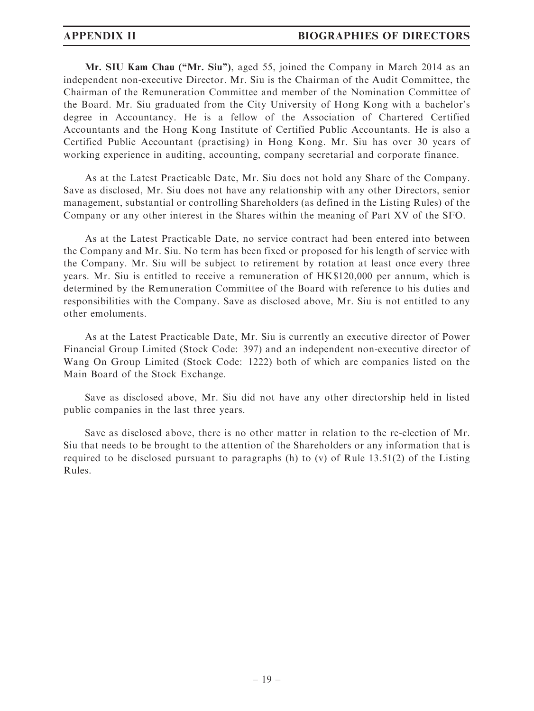Mr. SIU Kam Chau ("Mr. Siu"), aged 55, joined the Company in March 2014 as an independent non-executive Director. Mr. Siu is the Chairman of the Audit Committee, the Chairman of the Remuneration Committee and member of the Nomination Committee of the Board. Mr. Siu graduated from the City University of Hong Kong with a bachelor's degree in Accountancy. He is a fellow of the Association of Chartered Certified Accountants and the Hong Kong Institute of Certified Public Accountants. He is also a Certified Public Accountant (practising) in Hong Kong. Mr. Siu has over 30 years of working experience in auditing, accounting, company secretarial and corporate finance.

As at the Latest Practicable Date, Mr. Siu does not hold any Share of the Company. Save as disclosed, Mr. Siu does not have any relationship with any other Directors, senior management, substantial or controlling Shareholders (as defined in the Listing Rules) of the Company or any other interest in the Shares within the meaning of Part XV of the SFO.

As at the Latest Practicable Date, no service contract had been entered into between the Company and Mr. Siu. No term has been fixed or proposed for his length of service with the Company. Mr. Siu will be subject to retirement by rotation at least once every three years. Mr. Siu is entitled to receive a remuneration of HK\$120,000 per annum, which is determined by the Remuneration Committee of the Board with reference to his duties and responsibilities with the Company. Save as disclosed above, Mr. Siu is not entitled to any other emoluments.

As at the Latest Practicable Date, Mr. Siu is currently an executive director of Power Financial Group Limited (Stock Code: 397) and an independent non-executive director of Wang On Group Limited (Stock Code: 1222) both of which are companies listed on the Main Board of the Stock Exchange.

Save as disclosed above, Mr. Siu did not have any other directorship held in listed public companies in the last three years.

Save as disclosed above, there is no other matter in relation to the re-election of Mr. Siu that needs to be brought to the attention of the Shareholders or any information that is required to be disclosed pursuant to paragraphs (h) to (v) of Rule 13.51(2) of the Listing Rules.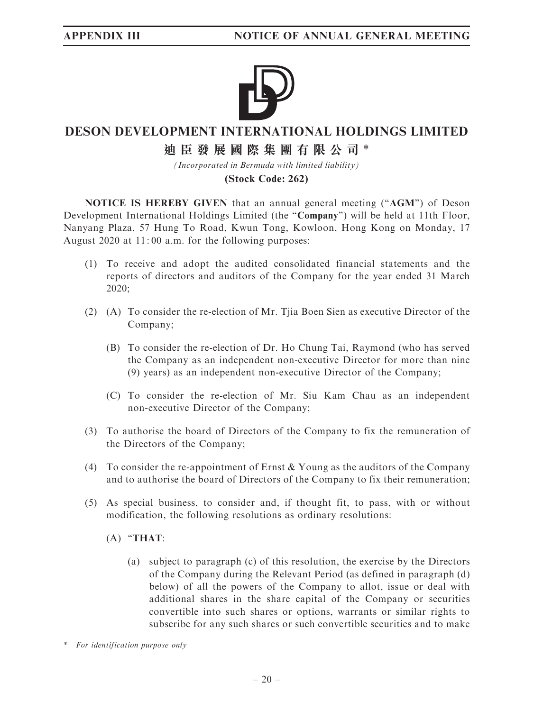

# **DESON DEVELOPMENT INTERNATIONAL HOLDINGS LIMITED 迪臣發展國際集團有限公司** \*

*(Incorporated in Bermuda with limited liability)* **(Stock Code: 262)**

NOTICE IS HEREBY GIVEN that an annual general meeting ("AGM") of Deson Development International Holdings Limited (the "Company") will be held at 11th Floor, Nanyang Plaza, 57 Hung To Road, Kwun Tong, Kowloon, Hong Kong on Monday, 17 August 2020 at 11: 00 a.m. for the following purposes:

- (1) To receive and adopt the audited consolidated financial statements and the reports of directors and auditors of the Company for the year ended 31 March 2020;
- (2) (A) To consider the re-election of Mr. Tjia Boen Sien as executive Director of the Company;
	- (B) To consider the re-election of Dr. Ho Chung Tai, Raymond (who has served the Company as an independent non-executive Director for more than nine (9) years) as an independent non-executive Director of the Company;
	- (C) To consider the re-election of Mr. Siu Kam Chau as an independent non-executive Director of the Company;
- (3) To authorise the board of Directors of the Company to fix the remuneration of the Directors of the Company;
- (4) To consider the re-appointment of Ernst & Young as the auditors of the Company and to authorise the board of Directors of the Company to fix their remuneration;
- (5) As special business, to consider and, if thought fit, to pass, with or without modification, the following resolutions as ordinary resolutions:

## $(A)$  "THAT:

- (a) subject to paragraph (c) of this resolution, the exercise by the Directors of the Company during the Relevant Period (as defined in paragraph (d) below) of all the powers of the Company to allot, issue or deal with additional shares in the share capital of the Company or securities convertible into such shares or options, warrants or similar rights to subscribe for any such shares or such convertible securities and to make
- \* For identification purpose only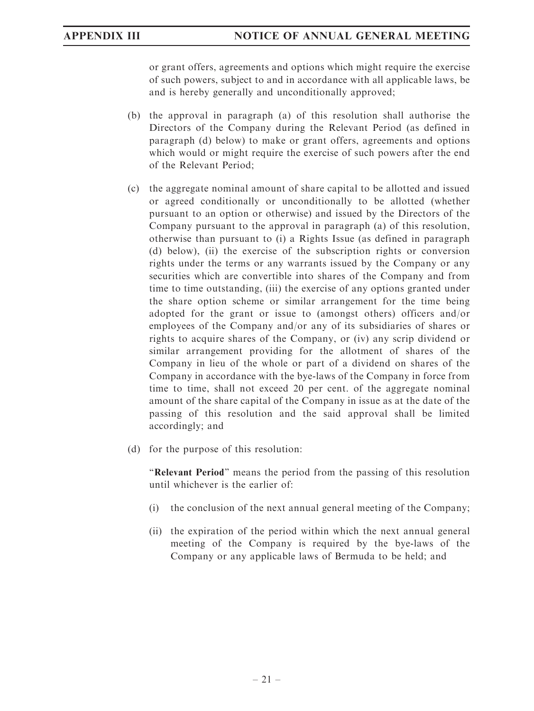or grant offers, agreements and options which might require the exercise of such powers, subject to and in accordance with all applicable laws, be and is hereby generally and unconditionally approved;

- (b) the approval in paragraph (a) of this resolution shall authorise the Directors of the Company during the Relevant Period (as defined in paragraph (d) below) to make or grant offers, agreements and options which would or might require the exercise of such powers after the end of the Relevant Period;
- (c) the aggregate nominal amount of share capital to be allotted and issued or agreed conditionally or unconditionally to be allotted (whether pursuant to an option or otherwise) and issued by the Directors of the Company pursuant to the approval in paragraph (a) of this resolution, otherwise than pursuant to (i) a Rights Issue (as defined in paragraph (d) below), (ii) the exercise of the subscription rights or conversion rights under the terms or any warrants issued by the Company or any securities which are convertible into shares of the Company and from time to time outstanding, (iii) the exercise of any options granted under the share option scheme or similar arrangement for the time being adopted for the grant or issue to (amongst others) officers and/or employees of the Company and/or any of its subsidiaries of shares or rights to acquire shares of the Company, or (iv) any scrip dividend or similar arrangement providing for the allotment of shares of the Company in lieu of the whole or part of a dividend on shares of the Company in accordance with the bye-laws of the Company in force from time to time, shall not exceed 20 per cent. of the aggregate nominal amount of the share capital of the Company in issue as at the date of the passing of this resolution and the said approval shall be limited accordingly; and
- (d) for the purpose of this resolution:

"Relevant Period" means the period from the passing of this resolution until whichever is the earlier of:

- (i) the conclusion of the next annual general meeting of the Company;
- (ii) the expiration of the period within which the next annual general meeting of the Company is required by the bye-laws of the Company or any applicable laws of Bermuda to be held; and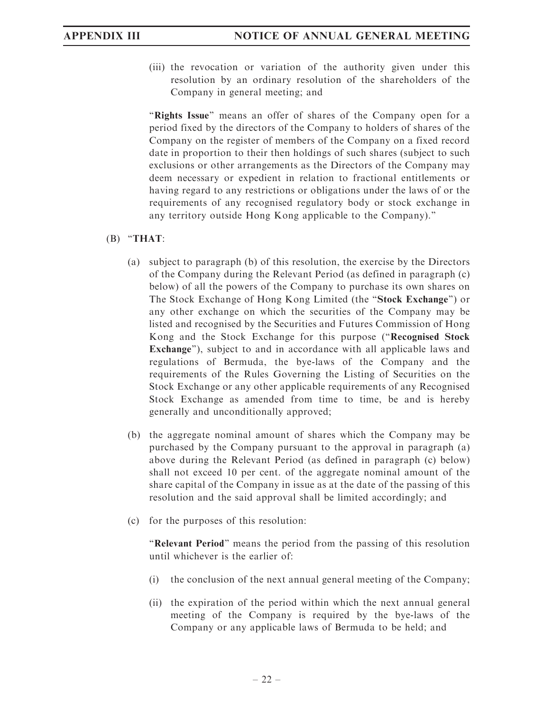(iii) the revocation or variation of the authority given under this resolution by an ordinary resolution of the shareholders of the Company in general meeting; and

"Rights Issue" means an offer of shares of the Company open for a period fixed by the directors of the Company to holders of shares of the Company on the register of members of the Company on a fixed record date in proportion to their then holdings of such shares (subject to such exclusions or other arrangements as the Directors of the Company may deem necessary or expedient in relation to fractional entitlements or having regard to any restrictions or obligations under the laws of or the requirements of any recognised regulatory body or stock exchange in any territory outside Hong Kong applicable to the Company).''

### $(B)$  "THAT:

- (a) subject to paragraph (b) of this resolution, the exercise by the Directors of the Company during the Relevant Period (as defined in paragraph (c) below) of all the powers of the Company to purchase its own shares on The Stock Exchange of Hong Kong Limited (the "Stock Exchange") or any other exchange on which the securities of the Company may be listed and recognised by the Securities and Futures Commission of Hong Kong and the Stock Exchange for this purpose (''Recognised Stock Exchange''), subject to and in accordance with all applicable laws and regulations of Bermuda, the bye-laws of the Company and the requirements of the Rules Governing the Listing of Securities on the Stock Exchange or any other applicable requirements of any Recognised Stock Exchange as amended from time to time, be and is hereby generally and unconditionally approved;
- (b) the aggregate nominal amount of shares which the Company may be purchased by the Company pursuant to the approval in paragraph (a) above during the Relevant Period (as defined in paragraph (c) below) shall not exceed 10 per cent. of the aggregate nominal amount of the share capital of the Company in issue as at the date of the passing of this resolution and the said approval shall be limited accordingly; and
- (c) for the purposes of this resolution:

"Relevant Period" means the period from the passing of this resolution until whichever is the earlier of:

- (i) the conclusion of the next annual general meeting of the Company;
- (ii) the expiration of the period within which the next annual general meeting of the Company is required by the bye-laws of the Company or any applicable laws of Bermuda to be held; and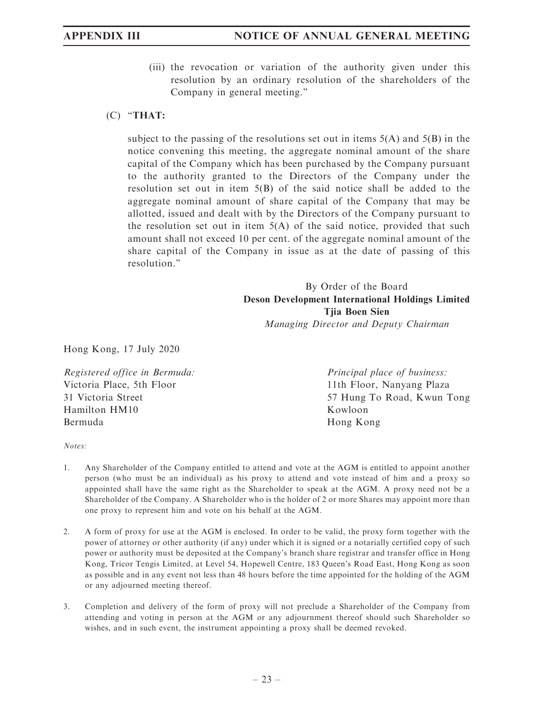(iii) the revocation or variation of the authority given under this resolution by an ordinary resolution of the shareholders of the Company in general meeting.''

## (C) ''THAT:

subject to the passing of the resolutions set out in items  $5(A)$  and  $5(B)$  in the notice convening this meeting, the aggregate nominal amount of the share capital of the Company which has been purchased by the Company pursuant to the authority granted to the Directors of the Company under the resolution set out in item 5(B) of the said notice shall be added to the aggregate nominal amount of share capital of the Company that may be allotted, issued and dealt with by the Directors of the Company pursuant to the resolution set out in item  $5(A)$  of the said notice, provided that such amount shall not exceed 10 per cent. of the aggregate nominal amount of the share capital of the Company in issue as at the date of passing of this resolution.''

> By Order of the Board Deson Development International Holdings Limited Tjia Boen Sien

Managing Director and Deputy Chairman

Hong Kong, 17 July 2020

Registered office in Bermuda: Victoria Place, 5th Floor 31 Victoria Street Hamilton HM10 Bermuda

Principal place of business: 11th Floor, Nanyang Plaza 57 Hung To Road, Kwun Tong Kowloon Hong Kong

Notes:

- 1. Any Shareholder of the Company entitled to attend and vote at the AGM is entitled to appoint another person (who must be an individual) as his proxy to attend and vote instead of him and a proxy so appointed shall have the same right as the Shareholder to speak at the AGM. A proxy need not be a Shareholder of the Company. A Shareholder who is the holder of 2 or more Shares may appoint more than one proxy to represent him and vote on his behalf at the AGM.
- 2. A form of proxy for use at the AGM is enclosed. In order to be valid, the proxy form together with the power of attorney or other authority (if any) under which it is signed or a notarially certified copy of such power or authority must be deposited at the Company's branch share registrar and transfer office in Hong Kong, Tricor Tengis Limited, at Level 54, Hopewell Centre, 183 Queen's Road East, Hong Kong as soon as possible and in any event not less than 48 hours before the time appointed for the holding of the AGM or any adjourned meeting thereof.
- 3. Completion and delivery of the form of proxy will not preclude a Shareholder of the Company from attending and voting in person at the AGM or any adjournment thereof should such Shareholder so wishes, and in such event, the instrument appointing a proxy shall be deemed revoked.